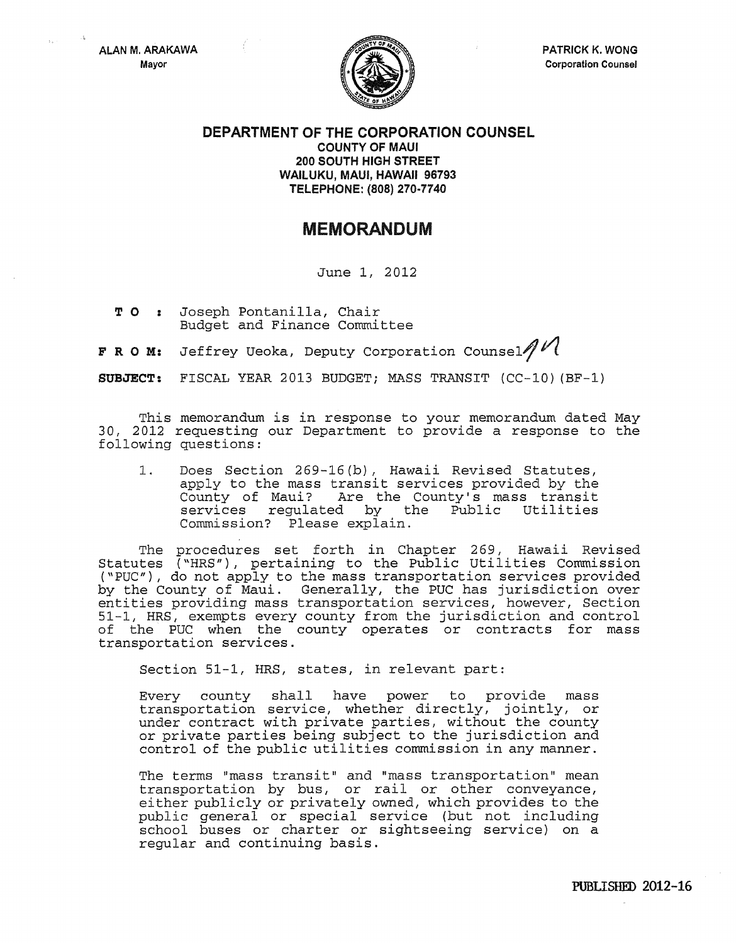

PATRICK K. WONG Corporation Counsel

DEPARTMENT OF THE CORPORATION COUNSEL COUNTY OF MAUl 200 SOUTH HIGH STREET WAilUKU, MAUl, HAWAII 96793 TElEPHONE: (808} 270·7740

## MEMORANDUM

June 1, 2012

T 0 Joseph Pontanilla, Chair Budget and Finance Committee

**F R O M:** Jeffrey Ueoka, Deputy Corporation Counsel  $M$ 

SUBJECT: FISCAL YEAR 2013 BUDGET; MASS TRANSIT (CC-10) (BF-1)

This memorandum is in response to your memorandum dated May 30, 2012 requesting our Department to provide a response to the following questions:

1. Does Section 269-16 (b), Hawaii Revised Statutes, apply to the mass transit services provided by the County of Maui? Are the County's mass transit Are the County's mass transit<br>ed by the Public Utilities services regulated by the Commission? Please explain.

The procedures set forth in Chapter 269, Hawaii Revised Statutes ("HRS"), pertaining to the Public Utilities Commission ("PUC"), do not apply to the mass transportation services provided by the County of Maui. Generally, the PUC has jurisdiction over entities providing mass transportation services, however, Section 51-1, HRS, exempts every county from the jurisdiction and control of the PUC when the county operates or contracts for mass transportation services.

Section 51-1, HRS, states, in relevant part:

Every county shall have power to provide mass transportation service, whether directly, jointly, or under contract with private parties, without the county or private parties being subject to the jurisdiction and control of the public utilities commission in any manner.

The terms "mass transit" and "mass transportation" mean transportation by bus, or rail or other conveyance, either publicly or privately owned, which provides to the public general or special service (but not including school buses or charter or sightseeing service) on a regular and continuing basis.